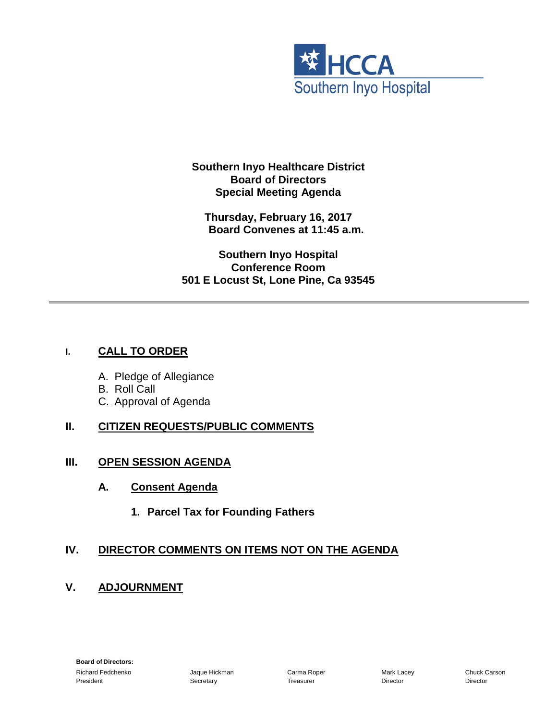

**Southern Inyo Healthcare District Board of Directors Special Meeting Agenda**

**Thursday, February 16, 2017 Board Convenes at 11:45 a.m.**

**Southern Inyo Hospital Conference Room 501 E Locust St, Lone Pine, Ca 93545**

## **I. CALL TO ORDER**

- A. Pledge of Allegiance
- B. Roll Call
- C. Approval of Agenda

## **II. CITIZEN REQUESTS/PUBLIC COMMENTS**

### **III. OPEN SESSION AGENDA**

- **A. Consent Agenda**
	- **1. Parcel Tax for Founding Fathers**

# **IV. DIRECTOR COMMENTS ON ITEMS NOT ON THE AGENDA**

**V. ADJOURNMENT**